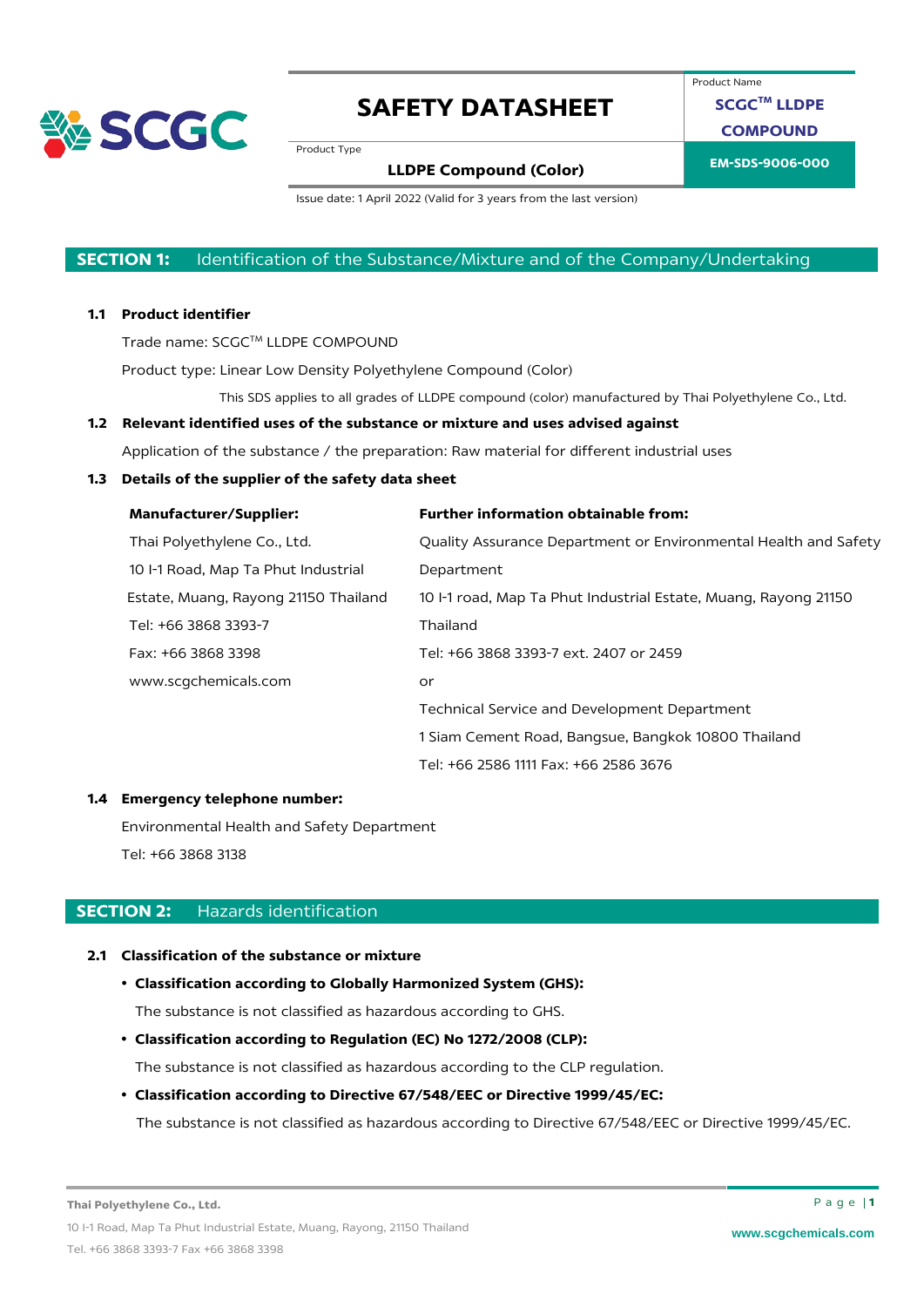

Product Name

**SCGCTM LLDPE COMPOUND**

Product Type

# **EM-SDS-9006-000 LLDPE Compound (Color)**

Issue date: 1 April 2022 (Valid for 3 years from the last version)

### **SECTION 1:** Identification of the Substance/Mixture and of the Company/Undertaking

### **1.1 Product identifier**

Trade name: SCGC™ LLDPE COMPOUND

Product type: Linear Low Density Polyethylene Compound (Color)

This SDS applies to all grades of LLDPE compound (color) manufactured by Thai Polyethylene Co., Ltd.

### **1.2 Relevant identified uses of the substance or mixture and uses advised against**

Application of the substance / the preparation: Raw material for different industrial uses

### **1.3 Details of the supplier of the safety data sheet**

| <b>Manufacturer/Supplier:</b>        | <b>Further information obtainable from:</b>                     |
|--------------------------------------|-----------------------------------------------------------------|
| Thai Polyethylene Co., Ltd.          | Quality Assurance Department or Environmental Health and Safety |
| 10 I-1 Road, Map Ta Phut Industrial  | Department                                                      |
| Estate, Muang, Rayong 21150 Thailand | 10 -1 road, Map Ta Phut Industrial Estate, Muang, Rayong 21150  |
| Tel: +66 3868 3393-7                 | Thailand                                                        |
| Fax: +66 3868 3398                   | Tel: +66 3868 3393-7 ext. 2407 or 2459                          |
| www.scqchemicals.com                 | or                                                              |
|                                      | Technical Service and Development Department                    |
|                                      | 1 Siam Cement Road, Bangsue, Bangkok 10800 Thailand             |
|                                      | Tel: +66 2586 1111 Fax: +66 2586 3676                           |

#### **1.4 Emergency telephone number:**

Environmental Health and Safety Department Tel: +66 3868 3138

### **SECTION 2:** Hazards identification

### **2.1 Classification of the substance or mixture**

#### • **Classification according to Globally Harmonized System (GHS):**

The substance is not classified as hazardous according to GHS.

• **Classification according to Regulation (EC) No 1272/2008 (CLP):**

The substance is not classified as hazardous according to the CLP regulation.

### • **Classification according to Directive 67/548/EEC or Directive 1999/45/EC:**

The substance is not classified as hazardous according to Directive 67/548/EEC or Directive 1999/45/EC.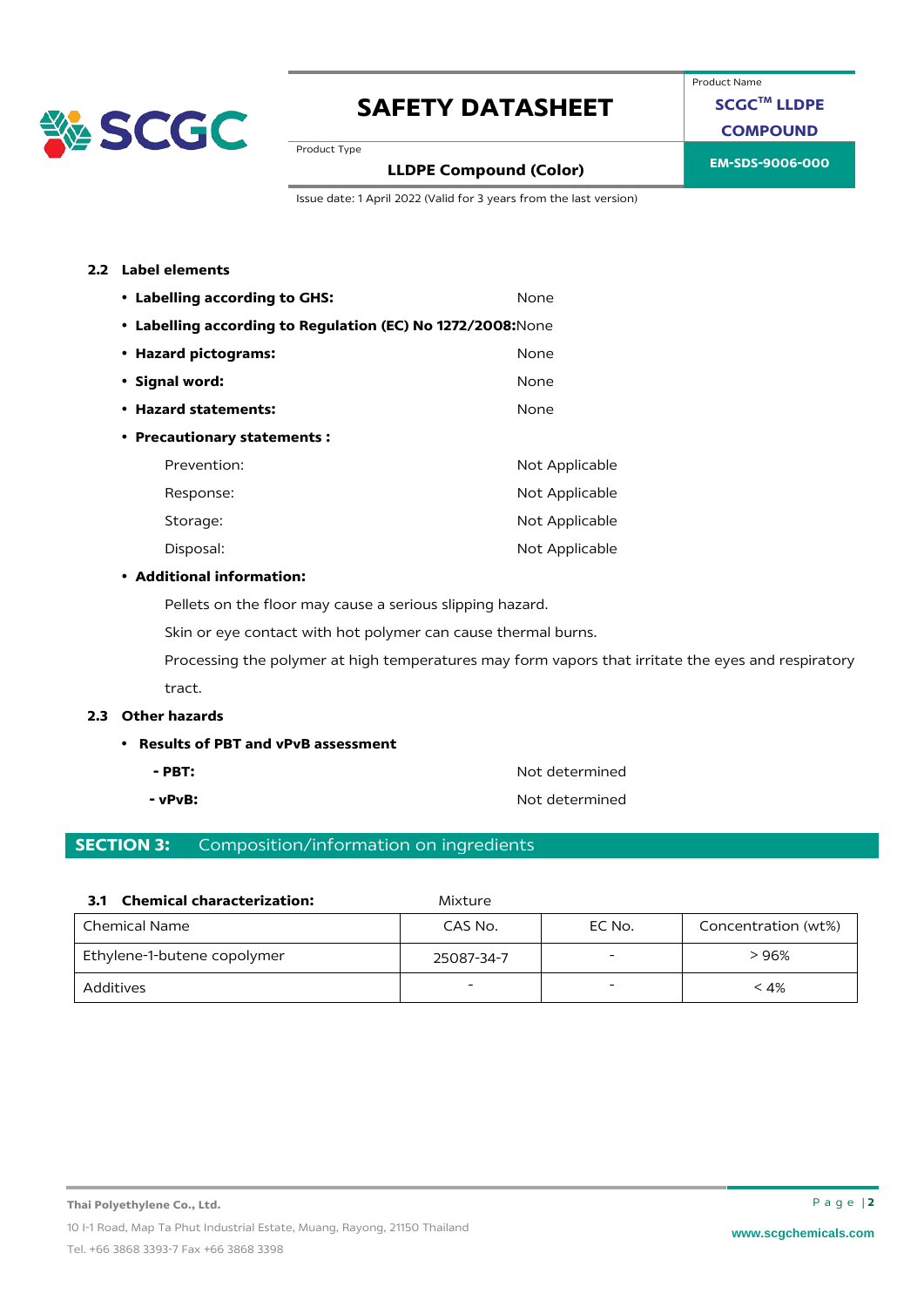

Product Name

**SCGCTM LLDPE**

**COMPOUND**

Product Type

## **EM-SDS-9006-000 LLDPE Compound (Color)**

Issue date: 1 April 2022 (Valid for 3 years from the last version)

#### **2.2 Label elements**

| • Labelling according to GHS:                               | None           |
|-------------------------------------------------------------|----------------|
| • Labelling according to Regulation (EC) No 1272/2008: None |                |
| • Hazard pictograms:                                        | None           |
| • Signal word:                                              | None           |
| • Hazard statements:                                        | None           |
| • Precautionary statements:                                 |                |
| Prevention:                                                 | Not Applicable |
| Response:                                                   | Not Applicable |
| Storage:                                                    | Not Applicable |
| Disposal:                                                   | Not Applicable |

#### • **Additional information:**

Pellets on the floor may cause a serious slipping hazard.

Skin or eye contact with hot polymer can cause thermal burns.

Processing the polymer at high temperatures may form vapors that irritate the eyes and respiratory tract.

### **2.3 Other hazards**

- **Results of PBT and vPvB assessment**
	-
	-

**- PBT:** Not determined **- vPvB:**  $\bullet$  **Not determined** 

### **SECTION 3:** Composition/information on ingredients

| 3.1 Chemical characterization: | Mixture |
|--------------------------------|---------|
|                                |         |

| Chemical Name               | CAS No.    | EC No. | Concentration (wt%) |
|-----------------------------|------------|--------|---------------------|
| Ethylene-1-butene copolymer | 25087-34-7 |        | > 96%               |
| Additives                   | -          |        | < 4%                |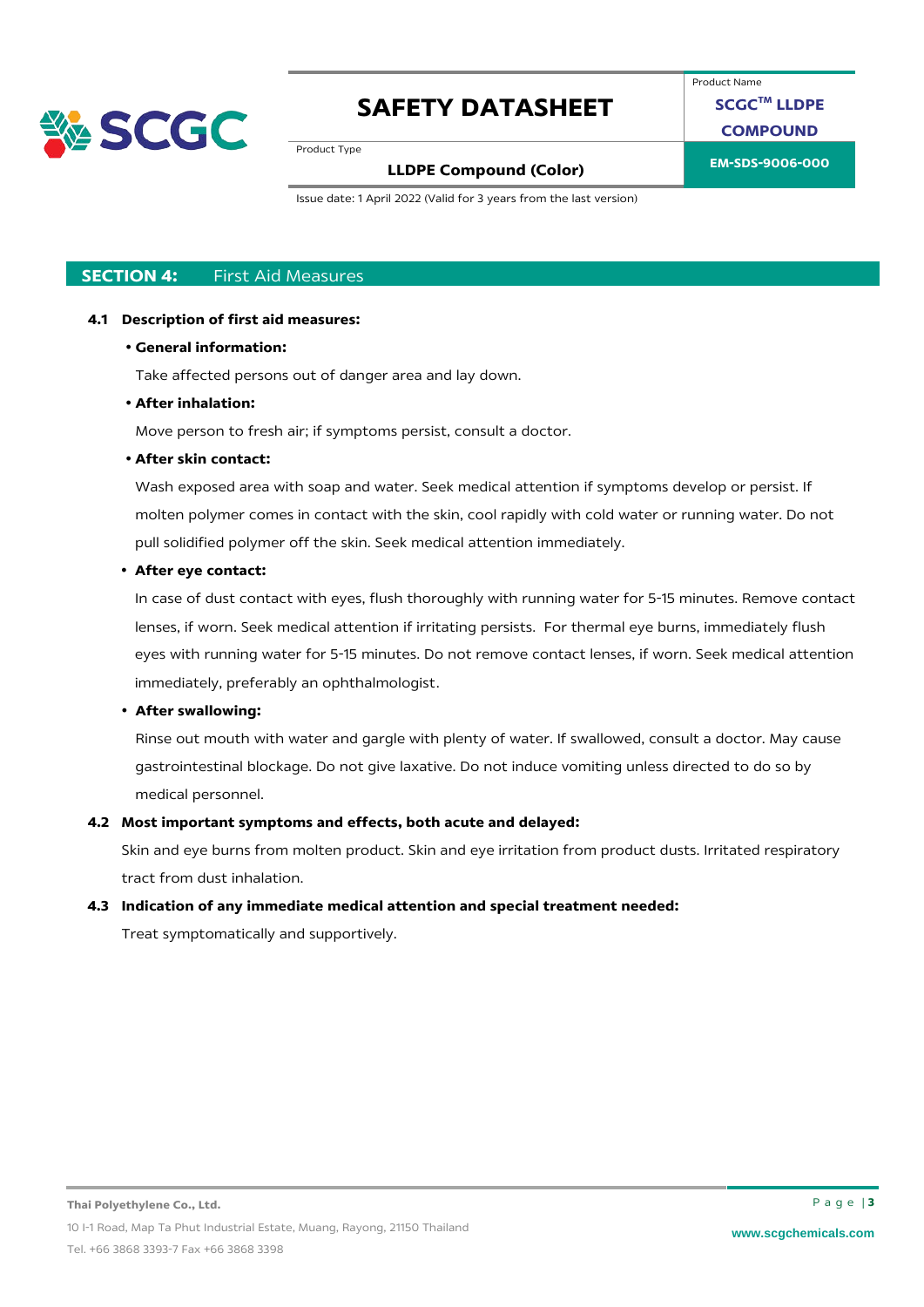

Product Name

**SCGCTM LLDPE**

**COMPOUND**

Product Type

## **EM-SDS-9006-000 LLDPE Compound (Color)**

Issue date: 1 April 2022 (Valid for 3 years from the last version)

### **SECTION 4:** First Aid Measures

#### **4.1 Description of first aid measures:**

#### • **General information:**

Take affected persons out of danger area and lay down.

#### • **After inhalation:**

Move person to fresh air; if symptoms persist, consult a doctor.

### • **After skin contact:**

Wash exposed area with soap and water. Seek medical attention if symptoms develop or persist. If molten polymer comes in contact with the skin, cool rapidly with cold water or running water. Do not pull solidified polymer off the skin. Seek medical attention immediately.

#### • **After eye contact:**

In case of dust contact with eyes, flush thoroughly with running water for 5-15 minutes. Remove contact lenses, if worn. Seek medical attention if irritating persists. For thermal eye burns, immediately flush eyes with running water for 5-15 minutes. Do not remove contact lenses, if worn. Seek medical attention immediately, preferably an ophthalmologist.

### • **After swallowing:**

Rinse out mouth with water and gargle with plenty of water. If swallowed, consult a doctor. May cause gastrointestinal blockage. Do not give laxative. Do not induce vomiting unless directed to do so by medical personnel.

### **4.2 Most important symptoms and effects, both acute and delayed:**

Skin and eye burns from molten product. Skin and eye irritation from product dusts. Irritated respiratory tract from dust inhalation.

#### **4.3 Indication of any immediate medical attention and special treatment needed:**

Treat symptomatically and supportively.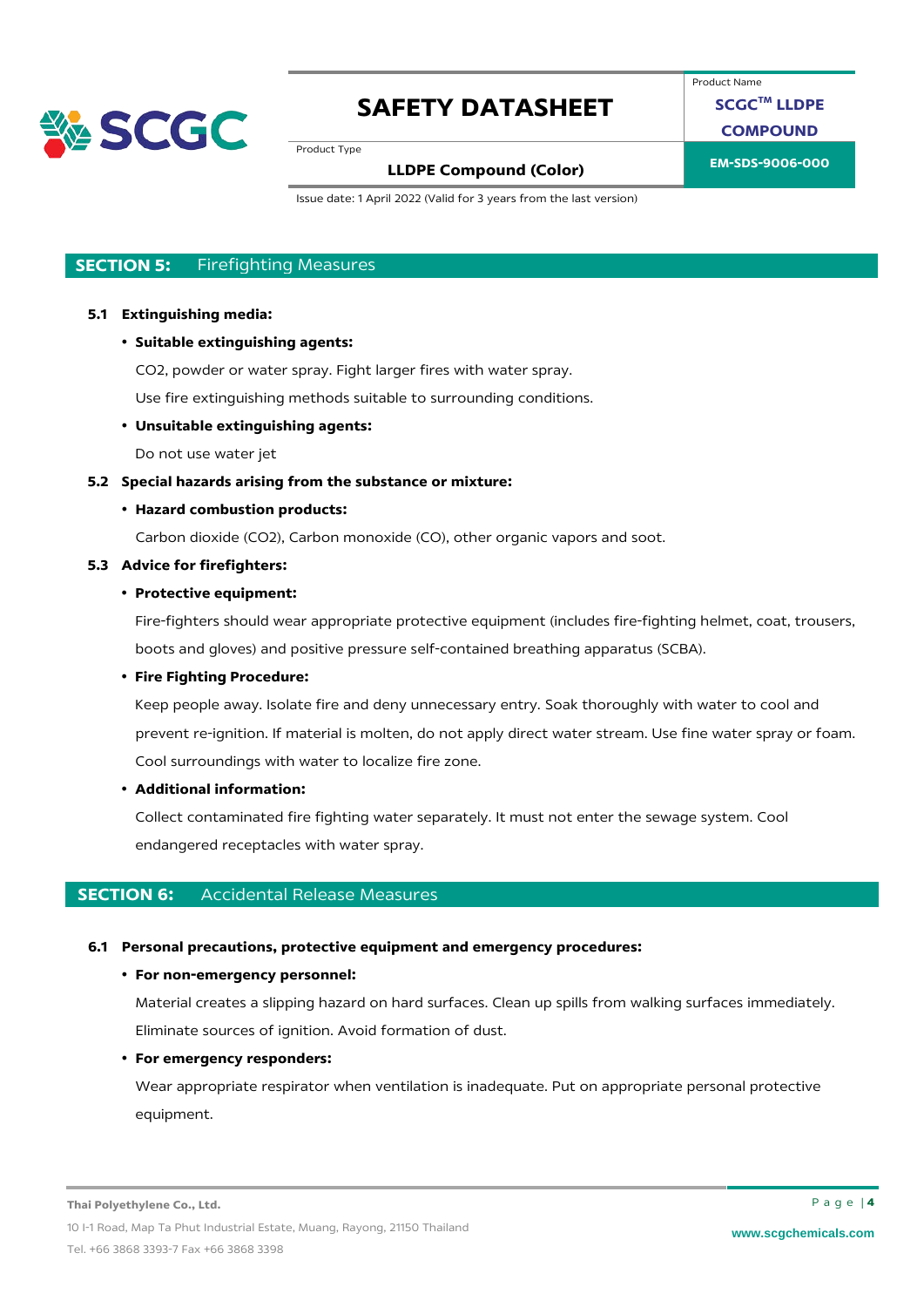

Product Name

**SCGCTM LLDPE**

**COMPOUND**

Product Type

# **EM-SDS-9006-000 LLDPE Compound (Color)**

Issue date: 1 April 2022 (Valid for 3 years from the last version)

### **SECTION 5:** Firefighting Measures

#### **5.1 Extinguishing media:**

• **Suitable extinguishing agents:**

CO2, powder or water spray. Fight larger fires with water spray.

Use fire extinguishing methods suitable to surrounding conditions.

#### • **Unsuitable extinguishing agents:**

Do not use water jet

#### **5.2 Special hazards arising from the substance or mixture:**

#### • **Hazard combustion products:**

Carbon dioxide (CO2), Carbon monoxide (CO), other organic vapors and soot.

#### **5.3 Advice for firefighters:**

### • **Protective equipment:**

Fire-fighters should wear appropriate protective equipment (includes fire-fighting helmet, coat, trousers, boots and gloves) and positive pressure self-contained breathing apparatus (SCBA).

### • **Fire Fighting Procedure:**

Keep people away. Isolate fire and deny unnecessary entry. Soak thoroughly with water to cool and prevent re-ignition. If material is molten, do not apply direct water stream. Use fine water spray or foam. Cool surroundings with water to localize fire zone.

#### • **Additional information:**

Collect contaminated fire fighting water separately. It must not enter the sewage system. Cool endangered receptacles with water spray.

### **SECTION 6:** Accidental Release Measures

#### **6.1 Personal precautions, protective equipment and emergency procedures:**

#### • **For non-emergency personnel:**

Material creates a slipping hazard on hard surfaces. Clean up spills from walking surfaces immediately. Eliminate sources of ignition. Avoid formation of dust.

#### • **For emergency responders:**

Wear appropriate respirator when ventilation is inadequate. Put on appropriate personal protective equipment.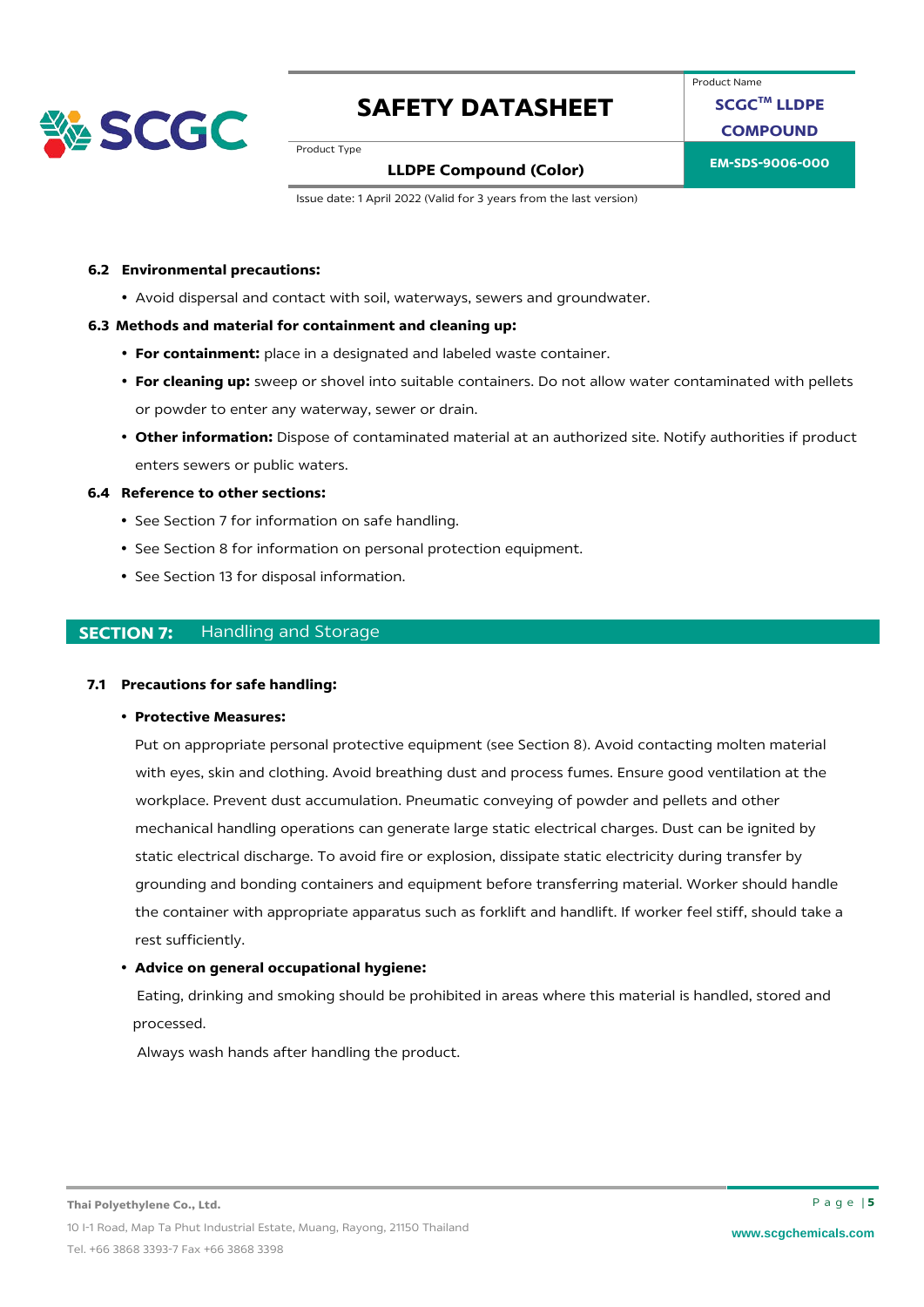

Product Name **SCGCTM LLDPE**

**COMPOUND**

Product Type

## **EM-SDS-9006-000 LLDPE Compound (Color)**

Issue date: 1 April 2022 (Valid for 3 years from the last version)

#### **6.2 Environmental precautions:**

• Avoid dispersal and contact with soil, waterways, sewers and groundwater.

#### **6.3 Methods and material for containment and cleaning up:**

- **For containment:** place in a designated and labeled waste container.
- **For cleaning up:** sweep or shovel into suitable containers. Do not allow water contaminated with pellets or powder to enter any waterway, sewer or drain.
- **Other information:** Dispose of contaminated material at an authorized site. Notify authorities if product enters sewers or public waters.

#### **6.4 Reference to other sections:**

- See Section 7 for information on safe handling.
- See Section 8 for information on personal protection equipment.
- See Section 13 for disposal information.

### **SECTION 7:** Handling and Storage

#### **7.1 Precautions for safe handling:**

• **Protective Measures:** 

Put on appropriate personal protective equipment (see Section 8). Avoid contacting molten material with eyes, skin and clothing. Avoid breathing dust and process fumes. Ensure good ventilation at the workplace. Prevent dust accumulation. Pneumatic conveying of powder and pellets and other mechanical handling operations can generate large static electrical charges. Dust can be ignited by static electrical discharge. To avoid fire or explosion, dissipate static electricity during transfer by grounding and bonding containers and equipment before transferring material. Worker should handle the container with appropriate apparatus such as forklift and handlift. If worker feel stiff, should take a rest sufficiently.

#### • **Advice on general occupational hygiene:**

Eating, drinking and smoking should be prohibited in areas where this material is handled, stored and processed.

Always wash hands after handling the product.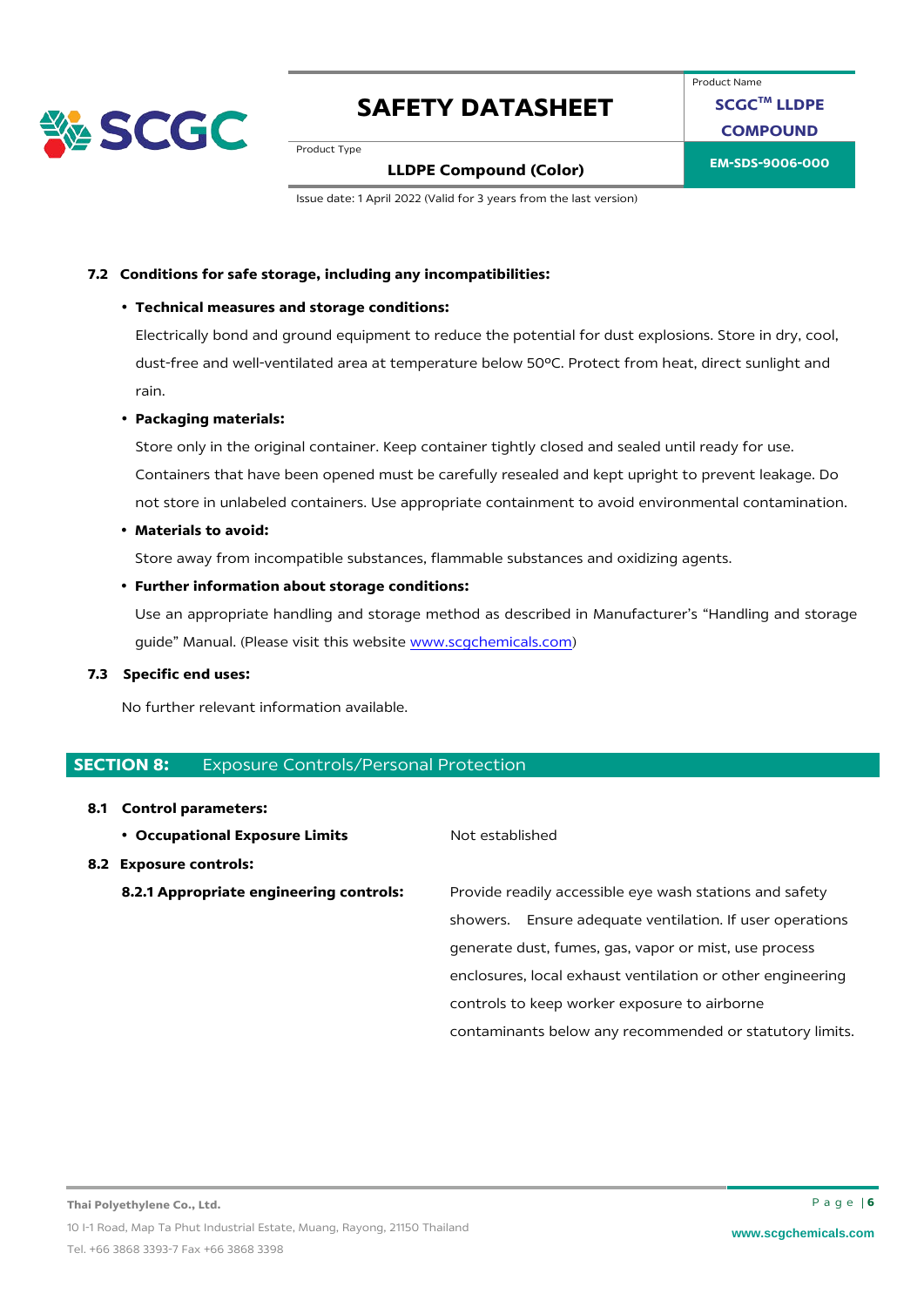

Product Name **SCGCTM LLDPE COMPOUND**

Product Type

### **EM-SDS-9006-000 LLDPE Compound (Color)**

Issue date: 1 April 2022 (Valid for 3 years from the last version)

#### **7.2 Conditions for safe storage, including any incompatibilities:**

#### • **Technical measures and storage conditions:**

Electrically bond and ground equipment to reduce the potential for dust explosions. Store in dry, cool, dust-free and well-ventilated area at temperature below 50ºC. Protect from heat, direct sunlight and rain.

#### • **Packaging materials:**

Store only in the original container. Keep container tightly closed and sealed until ready for use. Containers that have been opened must be carefully resealed and kept upright to prevent leakage. Do not store in unlabeled containers. Use appropriate containment to avoid environmental contamination.

#### • **Materials to avoid:**

Store away from incompatible substances, flammable substances and oxidizing agents.

#### • **Further information about storage conditions:**

Use an appropriate handling and storage method as described in Manufacturer's "Handling and storage guide" Manual. (Please visit this website [www.scgchemicals.com\)](http://www.scgchemicals.com/)

#### **7.3 Specific end uses:**

No further relevant information available.

#### **SECTION 8: Exposure Controls/Personal Protection**

#### **8.1 Control parameters:**

**• Occupational Exposure Limits** Not established

#### **8.2 Exposure controls:**

**8.2.1 Appropriate engineering controls:** Provide readily accessible eye wash stations and safety showers. Ensure adequate ventilation. If user operations generate dust, fumes, gas, vapor or mist, use process enclosures, local exhaust ventilation or other engineering controls to keep worker exposure to airborne contaminants below any recommended or statutory limits.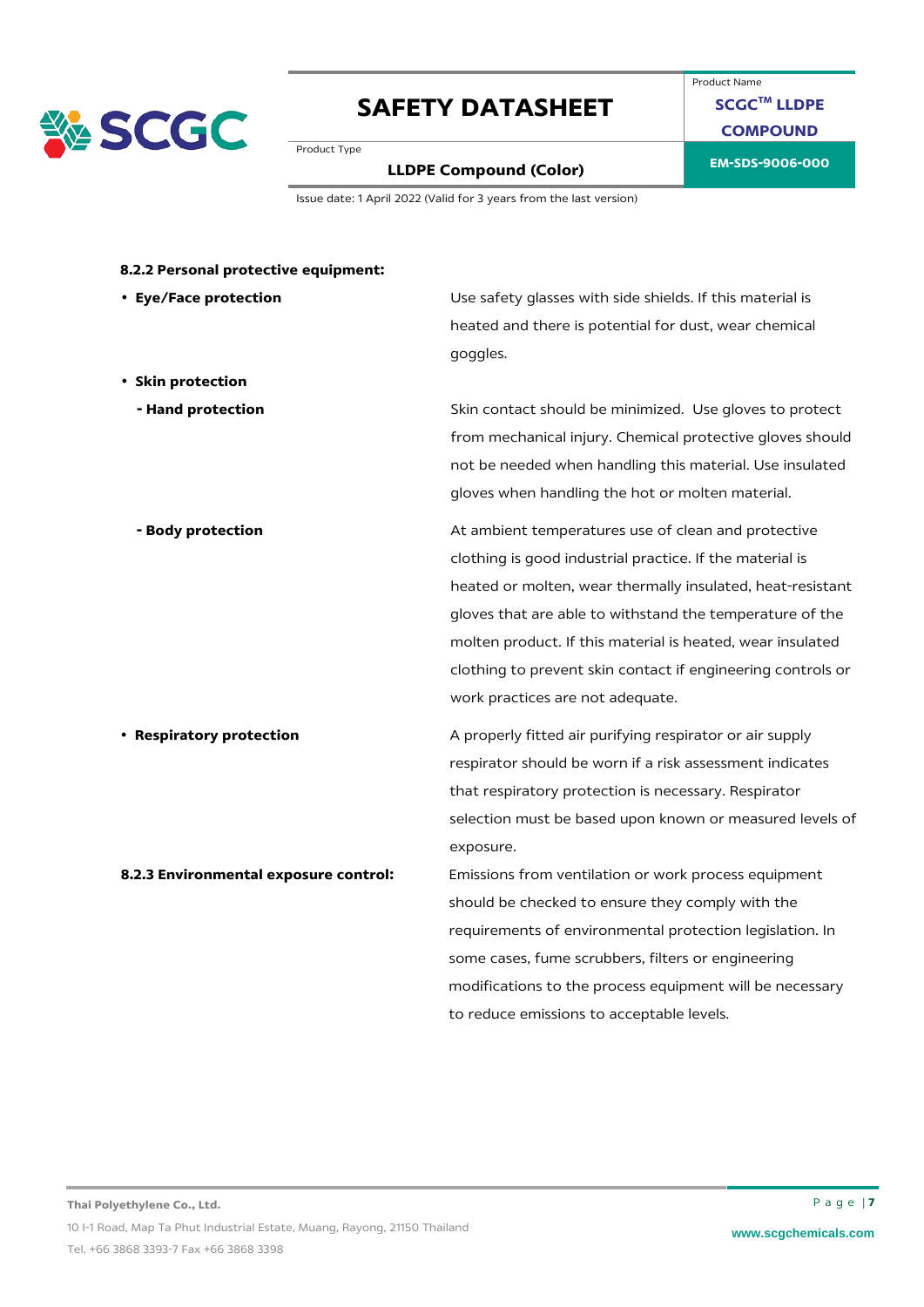

### Product Name **SCGCTM LLDPE COMPOUND**

Product Type

# **EM-SDS-9006-000 LLDPE Compound (Color)**

Issue date: 1 April 2022 (Valid for 3 years from the last version)

| • Eye/Face protection                 | Use safety glasses with side shields. If this material is   |
|---------------------------------------|-------------------------------------------------------------|
|                                       | heated and there is potential for dust, wear chemical       |
|                                       | goggles.                                                    |
| • Skin protection                     |                                                             |
| - Hand protection                     | Skin contact should be minimized. Use gloves to protect     |
|                                       | from mechanical injury. Chemical protective gloves should   |
|                                       | not be needed when handling this material. Use insulated    |
|                                       | gloves when handling the hot or molten material.            |
| - Body protection                     | At ambient temperatures use of clean and protective         |
|                                       | clothing is good industrial practice. If the material is    |
|                                       | heated or molten, wear thermally insulated, heat-resistant  |
|                                       | gloves that are able to withstand the temperature of the    |
|                                       | molten product. If this material is heated, wear insulated  |
|                                       | clothing to prevent skin contact if engineering controls or |
|                                       | work practices are not adequate.                            |
| • Respiratory protection              | A properly fitted air purifying respirator or air supply    |
|                                       | respirator should be worn if a risk assessment indicates    |
|                                       | that respiratory protection is necessary. Respirator        |
|                                       | selection must be based upon known or measured levels of    |
|                                       | exposure.                                                   |
| 8.2.3 Environmental exposure control: | Emissions from ventilation or work process equipment        |
|                                       | should be checked to ensure they comply with the            |
|                                       | requirements of environmental protection legislation. In    |
|                                       | some cases, fume scrubbers, filters or engineering          |
|                                       | modifications to the process equipment will be necessary    |
|                                       | to reduce emissions to acceptable levels.                   |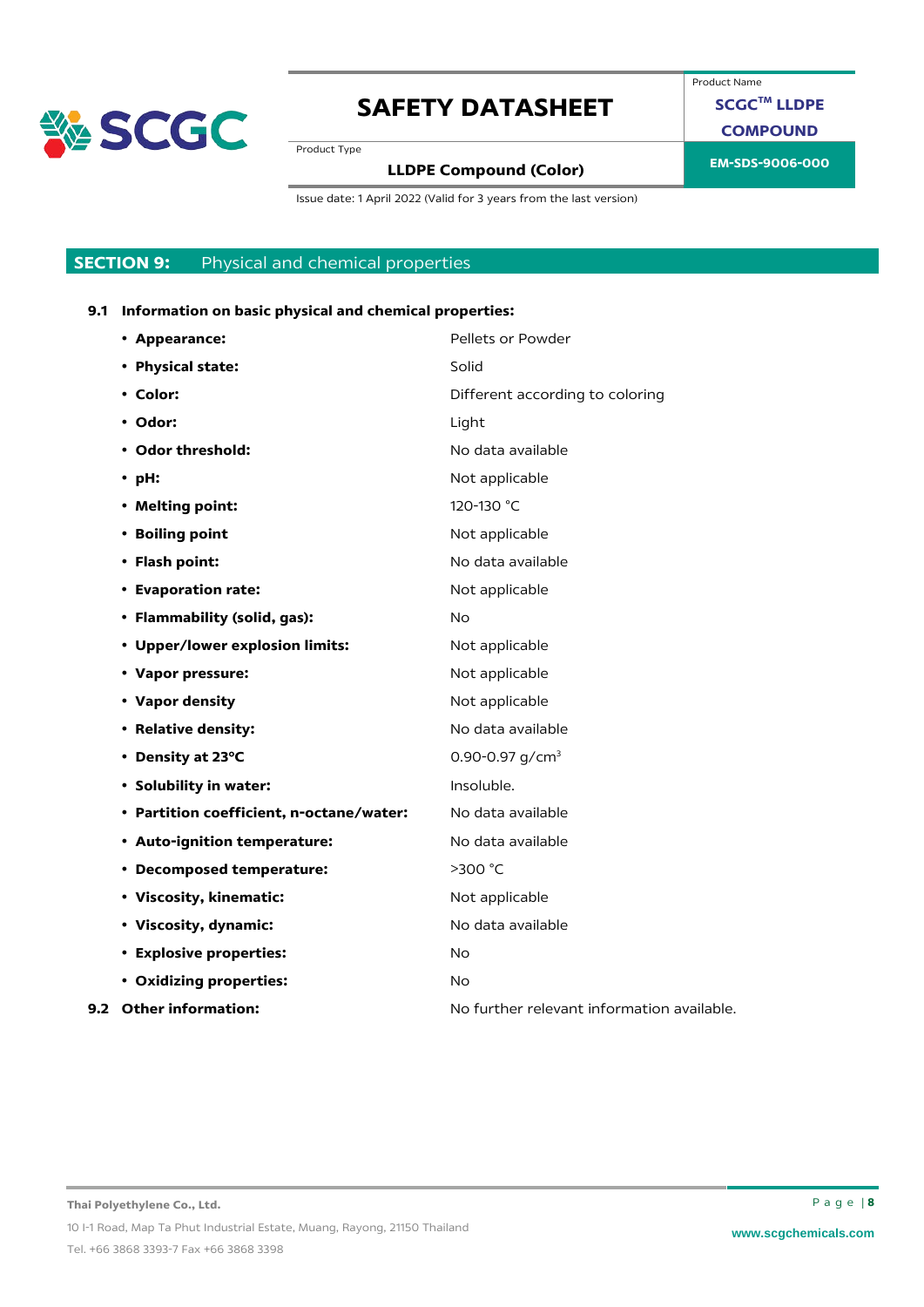

Product Name

**SCGCTM LLDPE**

**COMPOUND**

Product Type

# **EM-SDS-9006-000 LLDPE Compound (Color)**

Issue date: 1 April 2022 (Valid for 3 years from the last version)

### **SECTION 9:** Physical and chemical properties

### **9.1 Information on basic physical and chemical properties:**

| • Appearance:                            | Pellets or Powder                          |
|------------------------------------------|--------------------------------------------|
| • Physical state:                        | Solid                                      |
| • Color:                                 | Different according to coloring            |
| • Odor:                                  | Light                                      |
| • Odor threshold:                        | No data available                          |
| $\cdot$ pH:                              | Not applicable                             |
| • Melting point:                         | 120-130 °C                                 |
| • Boiling point                          | Not applicable                             |
| • Flash point:                           | No data available                          |
| • Evaporation rate:                      | Not applicable                             |
| • Flammability (solid, gas):             | No.                                        |
| • Upper/lower explosion limits:          | Not applicable                             |
| • Vapor pressure:                        | Not applicable                             |
| • Vapor density                          | Not applicable                             |
| • Relative density:                      | No data available                          |
| • Density at 23°C                        | 0.90-0.97 $q/cm3$                          |
| • Solubility in water:                   | Insoluble.                                 |
| • Partition coefficient, n-octane/water: | No data available                          |
| • Auto-ignition temperature:             | No data available                          |
| • Decomposed temperature:                | >300 °C                                    |
| • Viscosity, kinematic:                  | Not applicable                             |
| • Viscosity, dynamic:                    | No data available                          |
| • Explosive properties:                  | <b>No</b>                                  |
| • Oxidizing properties:                  | <b>No</b>                                  |
| 9.2 Other information:                   | No further relevant information available. |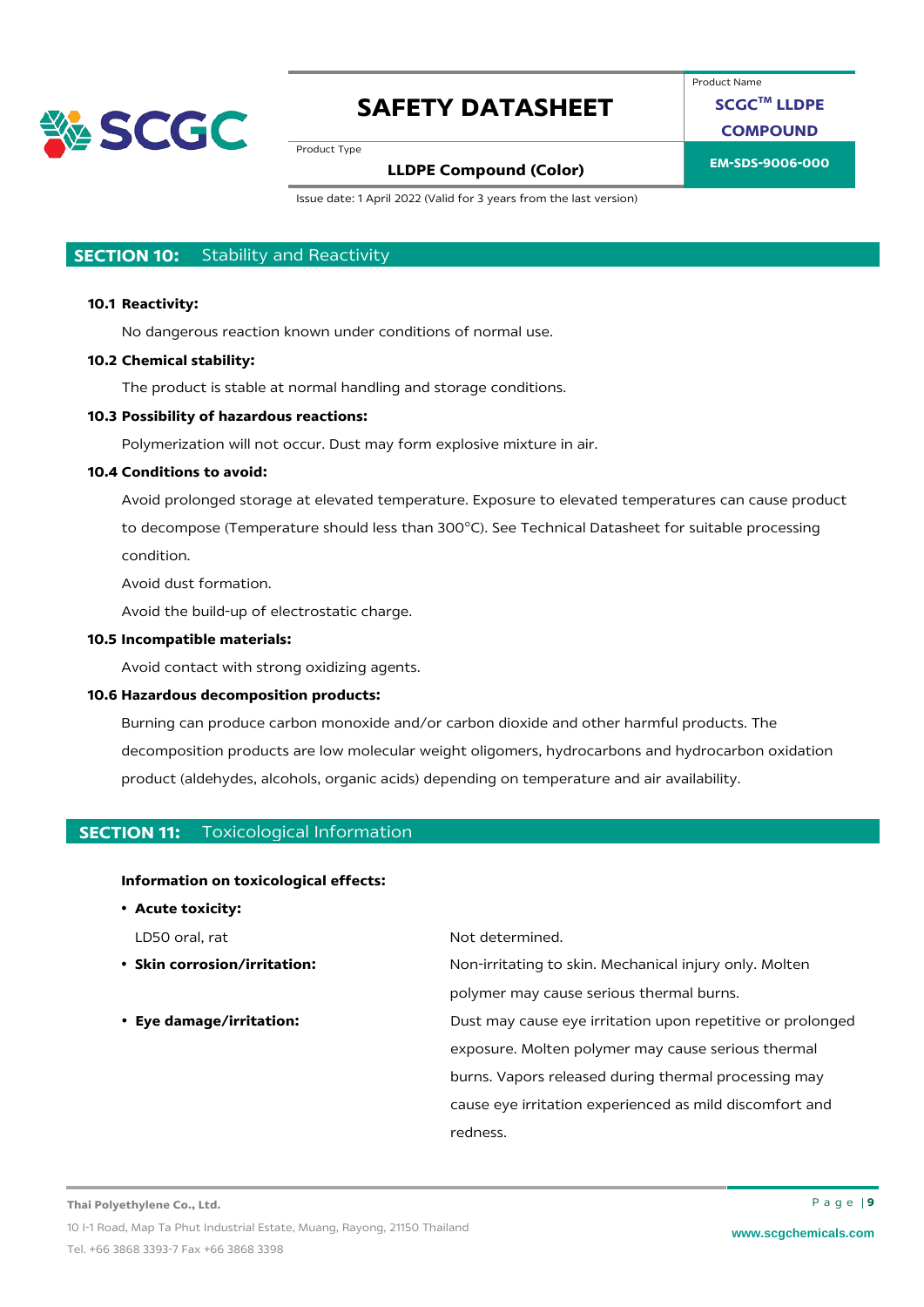

Product Name

**SCGCTM LLDPE**

**COMPOUND**

Product Type

## **EM-SDS-9006-000 LLDPE Compound (Color)**

Issue date: 1 April 2022 (Valid for 3 years from the last version)

### **SECTION 10:** Stability and Reactivity

#### **10.1 Reactivity:**

No dangerous reaction known under conditions of normal use.

#### **10.2 Chemical stability:**

The product is stable at normal handling and storage conditions.

### **10.3 Possibility of hazardous reactions:**

Polymerization will not occur. Dust may form explosive mixture in air.

### **10.4 Conditions to avoid:**

Avoid prolonged storage at elevated temperature. Exposure to elevated temperatures can cause product to decompose (Temperature should less than 300°C). See Technical Datasheet for suitable processing condition.

Avoid dust formation.

Avoid the build-up of electrostatic charge.

#### **10.5 Incompatible materials:**

Avoid contact with strong oxidizing agents.

#### **10.6 Hazardous decomposition products:**

Burning can produce carbon monoxide and/or carbon dioxide and other harmful products. The decomposition products are low molecular weight oligomers, hydrocarbons and hydrocarbon oxidation product (aldehydes, alcohols, organic acids) depending on temperature and air availability.

#### **SECTION 11:** Toxicological Information

#### **Information on toxicological effects:**

• **Acute toxicity:**

- 
- 

LD50 oral, rat Not determined.

• **Skin corrosion/irritation:** Non-irritating to skin. Mechanical injury only. Molten polymer may cause serious thermal burns.

• **Eye damage/irritation:** Dust may cause eye irritation upon repetitive or prolonged exposure. Molten polymer may cause serious thermal burns. Vapors released during thermal processing may cause eye irritation experienced as mild discomfort and redness.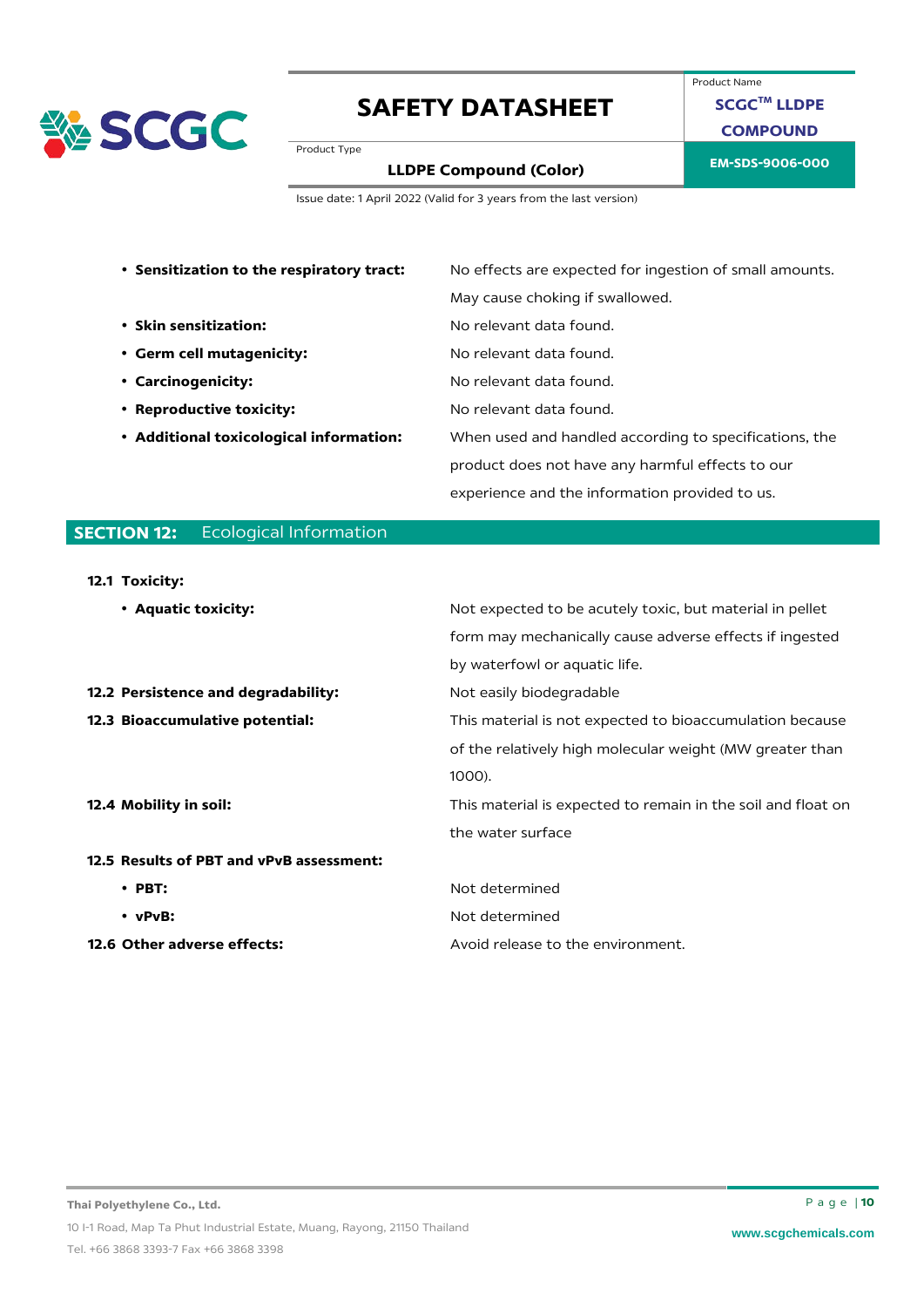

Product Name **SCGCTM LLDPE COMPOUND**

Product Type

# **EM-SDS-9006-000 LLDPE Compound (Color)**

Issue date: 1 April 2022 (Valid for 3 years from the last version)

| • Sensitization to the respiratory tract: | No effects are expected for ingestion of small amounts. |
|-------------------------------------------|---------------------------------------------------------|
|                                           | May cause choking if swallowed.                         |
| • Skin sensitization:                     | No relevant data found.                                 |
| • Germ cell mutagenicity:                 | No relevant data found.                                 |
| • Carcinogenicity:                        | No relevant data found.                                 |
| • Reproductive toxicity:                  | No relevant data found.                                 |
| • Additional toxicological information:   | When used and handled according to specifications, the  |
|                                           | product does not have any harmful effects to our        |
|                                           | experience and the information provided to us.          |

### **SECTION 12:** Ecological Information

#### **12.1 Toxicity:**

| • Aquatic toxicity:                      | Not expected to be acutely toxic, but material in pellet     |
|------------------------------------------|--------------------------------------------------------------|
|                                          | form may mechanically cause adverse effects if ingested      |
|                                          | by waterfowl or aquatic life.                                |
| 12.2 Persistence and degradability:      | Not easily biodegradable                                     |
| 12.3 Bioaccumulative potential:          | This material is not expected to bioaccumulation because     |
|                                          | of the relatively high molecular weight (MW greater than     |
|                                          | 1000).                                                       |
| 12.4 Mobility in soil:                   | This material is expected to remain in the soil and float on |
|                                          | the water surface                                            |
| 12.5 Results of PBT and vPvB assessment: |                                                              |
| $\cdot$ PBT:                             | Not determined                                               |
| $\cdot$ vPvB:                            | Not determined                                               |
| 12.6 Other adverse effects:              | Avoid release to the environment.                            |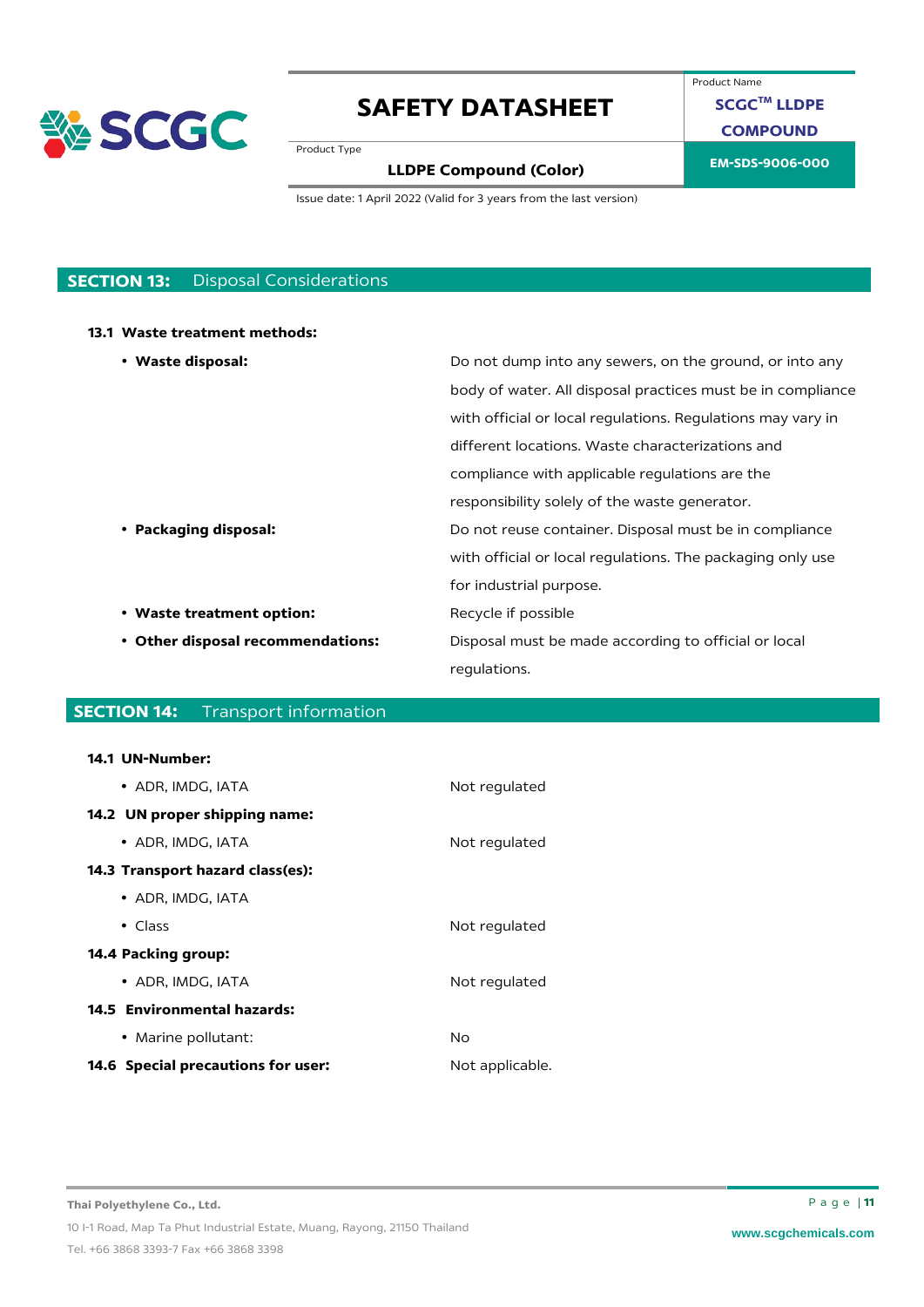

Product Name **SCGCTM LLDPE**

**COMPOUND**

### **EM-SDS-9006-000 LLDPE Compound (Color)**

Issue date: 1 April 2022 (Valid for 3 years from the last version)

### **SECTION 13:** Disposal Considerations

Product Type

#### **13.1 Waste treatment methods:**

| • Waste disposal:                 | Do not dump into any sewers, on the ground, or into any     |
|-----------------------------------|-------------------------------------------------------------|
|                                   | body of water. All disposal practices must be in compliance |
|                                   | with official or local regulations. Regulations may vary in |
|                                   | different locations. Waste characterizations and            |
|                                   | compliance with applicable regulations are the              |
|                                   | responsibility solely of the waste generator.               |
| • Packaging disposal:             | Do not reuse container. Disposal must be in compliance      |
|                                   | with official or local regulations. The packaging only use  |
|                                   | for industrial purpose.                                     |
| • Waste treatment option:         | Recycle if possible                                         |
| • Other disposal recommendations: | Disposal must be made according to official or local        |
|                                   | regulations.                                                |

### **SECTION 14:** Transport information

#### **14.1 UN-Number:**

| • ADR. IMDG. IATA                       | Not regulated   |
|-----------------------------------------|-----------------|
| 14.2 UN proper shipping name:           |                 |
| • ADR, IMDG, IATA                       | Not regulated   |
| <b>14.3 Transport hazard class(es):</b> |                 |
| • ADR, IMDG, IATA                       |                 |
| $\bullet$ Class                         | Not regulated   |
| 14.4 Packing group:                     |                 |
| • ADR, IMDG, IATA                       | Not regulated   |
| 14.5 Environmental hazards:             |                 |
| • Marine pollutant:                     | No              |
| 14.6 Special precautions for user:      | Not applicable. |
|                                         |                 |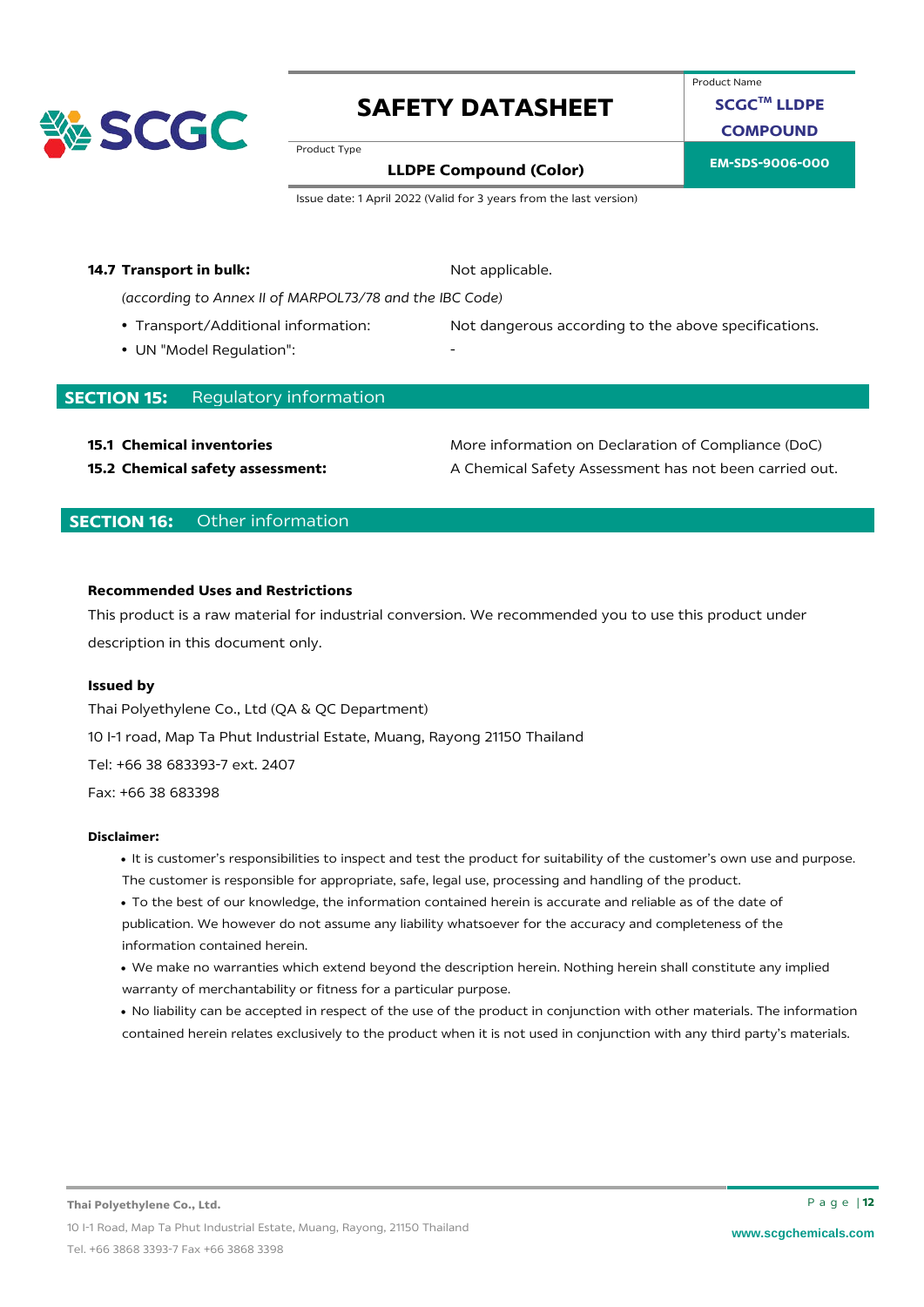

Product Name

**SCGCTM LLDPE**

**COMPOUND**

Product Type

# **EM-SDS-9006-000 LLDPE Compound (Color)**

Issue date: 1 April 2022 (Valid for 3 years from the last version)

#### **14.7 Transport in bulk:** Not applicable.

*(according to Annex II of MARPOL73/78 and the IBC Code)*

- 
- UN "Model Regulation":

• Transport/Additional information: Not dangerous according to the above specifications.

### **SECTION 15:** Regulatory information

**15.1 Chemical inventories 15.1 Chemical inventories** More information on Declaration of Compliance (DoC) **15.2 Chemical safety assessment:** A Chemical Safety Assessment has not been carried out.

### **SECTION 16:** Other information

#### **Recommended Uses and Restrictions**

This product is a raw material for industrial conversion. We recommended you to use this product under description in this document only.

#### **Issued by**

Thai Polyethylene Co., Ltd (QA & QC Department) 10 I-1 road, Map Ta Phut Industrial Estate, Muang, Rayong 21150 Thailand Tel: +66 38 683393-7 ext. 2407 Fax: +66 38 683398

#### **Disclaimer:**

- It is customer's responsibilities to inspect and test the product for suitability of the customer's own use and purpose. The customer is responsible for appropriate, safe, legal use, processing and handling of the product.
- To the best of our knowledge, the information contained herein is accurate and reliable as of the date of publication. We however do not assume any liability whatsoever for the accuracy and completeness of the information contained herein.
- We make no warranties which extend beyond the description herein. Nothing herein shall constitute any implied warranty of merchantability or fitness for a particular purpose.
- No liability can be accepted in respect of the use of the product in conjunction with other materials. The information contained herein relates exclusively to the product when it is not used in conjunction with any third party's materials.